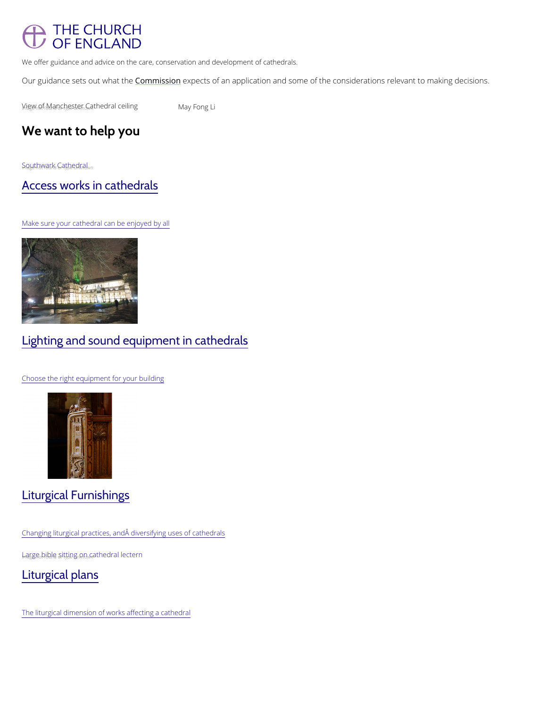# THE CHURCH OF ENGLAND

We offer guidance and advice on the care, conservation and development of cathedrals.

Our guidance sets ol Ctommind is the compects of an application and some of the considerations releva

*N*<sub>ig</sub> w<sub>n</sub> of f<sub>o</sub> Manchester C<sub>n</sub>athedral cenialyn frong Li

## We want to help you

 $S_n Q_g \psi t \hbar w q t \kappa d$  C<sub>r</sub>athedral <sub>Radwn</sub>

[Access works in cathedrals](/resources/churchcare/cathedral-fabric-commission/advice-and-guidance-cathedrals/access-works)

Make sure your cathedral can be enjoyed by all

# Lighting and sound equipment in cathedrals

Choose the right equipment for your building

Liturgical Furnishings

Changing liturgical practices, and diversifying uses of cathedrals

 $L_m$ agg $e_0$ , bib<sub>r</sub> $e_0$ , s<sub>itt</sub><sub>i</sub>d ng <sub>n</sub>ow<sub>n</sub> cathedral lectern

[Liturgical plans](/resources/churchcare/cathedral-fabric-commission/advice-and-guidance-cathedrals/liturgical-plans)

The liturgical dimension of works affecting a cathedral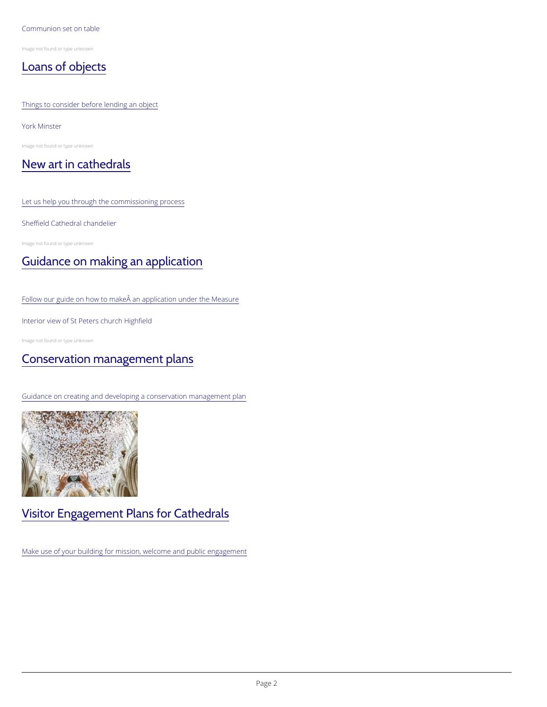#### Communion set on table

Image not found or type unknown

[Loans of objects](/resources/churchcare/cathedral-fabric-commission/advice-and-guidance-cathedrals/loans-objects)

#### Things to consider before lending an object

York Minster

Image not found or type unknown

### [New art in cathedrals](/resources/churchcare/cathedral-fabric-commission/advice-and-guidance-cathedrals/new-art-cathedrals)

Let us help you through the commissioning process

#### Sheffield Cathedral chandelier

Image not found or type unknown

# [Guidance on making an application](https://www.churchofengland.org/media/17169)

#### Follow our guide on how to make an application under the Measure

#### Interior view of St Peters church Highfield

Image not found or type unknown

## [Conservation management plans](/resources/churchcare/advice-and-guidance-church-buildings/conservation-management-plans)

Guidance on creating and developing a conservation management plan

# Visitor Engagement Plans for Cathedrals

Make use of your building for mission, welcome and public engagement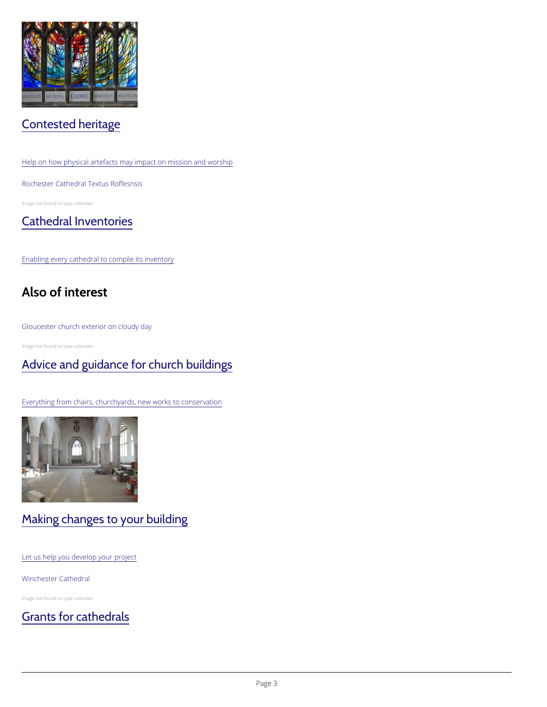# Contested heritage

Help on how physical artefacts may impact on mission and worship

#### Rochester Cathedral Textus Roffesnsis

Image not found or type unknown

## [Cathedral Inventories](/resources/churchcare/cathedral-fabric-commission/advice-and-guidance-cathedrals/cathedral)

Enabling every cathedral to compile its inventory

# Also of interest

#### Gloucester church exterior on cloudy day

Image not found or type unknown

## [Advice and guidance for church buildings](/resources/churchcare/advice-and-guidance-church-buildings)

Everything from chairs, churchyards, new works to conservation

### Making changes to your building

Let us help you develop your project

Winchester Cathedral

Image not found or type unknown

[Grants for cathedrals](/resources/churchcare/our-conservation-grants/grants-cathedrals)